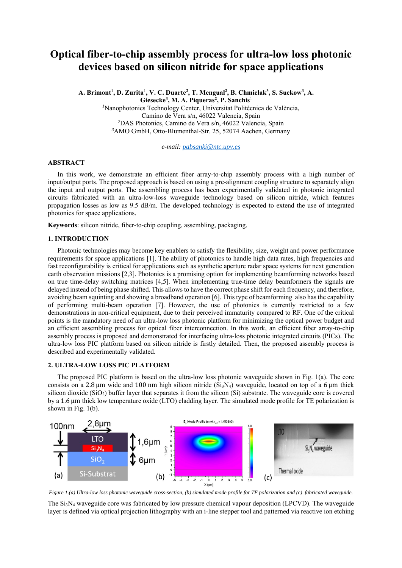# **Optical fiber-to-chip assembly process for ultra-low loss photonic devices based on silicon nitride for space applications**

A. Brimont<sup>1</sup>, D. Zurita<sup>1</sup>, V. C. Duarte<sup>2</sup>, T. Mengual<sup>2</sup>, B. Chmielak<sup>3</sup>, S. Suckow<sup>3</sup>, A. Giesecke<sup>3</sup>, M. A. Piqueras<sup>2</sup>, P. Sanchis<sup>1</sup> *1* Nanophotonics Technology Center, Universitat Politècnica de València, Camino de Vera s/n, 46022 Valencia, Spain *2* DAS Photonics, Camino de Vera s/n, 46022 Valencia, Spain *3* AMO GmbH, Otto-Blumenthal-Str. 25, 52074 Aachen, Germany

*e-mail: pabsanki@ntc.upv.es* 

### **ABSTRACT**

In this work, we demonstrate an efficient fiber array-to-chip assembly process with a high number of input/output ports. The proposed approach is based on using a pre-alignment coupling structure to separately align the input and output ports. The assembling process has been experimentally validated in photonic integrated circuits fabricated with an ultra-low-loss waveguide technology based on silicon nitride, which features propagation losses as low as 9.5 dB/m. The developed technology is expected to extend the use of integrated photonics for space applications.

**Keywords**: silicon nitride, fiber-to-chip coupling, assembling, packaging.

# **1. INTRODUCTION**

Photonic technologies may become key enablers to satisfy the flexibility, size, weight and power performance requirements for space applications [1]. The ability of photonics to handle high data rates, high frequencies and fast reconfigurability is critical for applications such as synthetic aperture radar space systems for next generation earth observation missions [2,3]. Photonics is a promising option for implementing beamforming networks based on true time-delay switching matrices [4,5]. When implementing true-time delay beamformers the signals are delayed instead of being phase shifted. This allows to have the correct phase shift for each frequency, and therefore, avoiding beam squinting and showing a broadband operation [6]. This type of beamforming also has the capability of performing multi-beam operation [7]. However, the use of photonics is currently restricted to a few demonstrations in non-critical equipment, due to their perceived immaturity compared to RF. One of the critical points is the mandatory need of an ultra-low loss photonic platform for minimizing the optical power budget and an efficient assembling process for optical fiber interconnection. In this work, an efficient fiber array-to-chip assembly process is proposed and demonstrated for interfacing ultra-loss photonic integrated circuits (PICs). The ultra-low loss PIC platform based on silicon nitride is firstly detailed. Then, the proposed assembly process is described and experimentally validated.

## **2. ULTRA-LOW LOSS PIC PLATFORM**

The proposed PIC platform is based on the ultra-low loss photonic waveguide shown in Fig. 1(a). The core consists on a 2.8  $\mu$ m wide and 100 nm high silicon nitride (Si<sub>3</sub>N<sub>4</sub>) waveguide, located on top of a 6  $\mu$ m thick silicon dioxide (SiO2) buffer layer that separates it from the silicon (Si) substrate. The waveguide core is covered by a 1.6 μm thick low temperature oxide (LTO) cladding layer. The simulated mode profile for TE polarization is shown in Fig. 1(b).



*Figure 1.(a) Ultra-low loss photonic waveguide cross-section, (b) simulated mode profile for TE polarization and (c) fabricated waveguide.* 

The Si3N4 waveguide core was fabricated by low pressure chemical vapour deposition (LPCVD). The waveguide layer is defined via optical projection lithography with an i-line stepper tool and patterned via reactive ion etching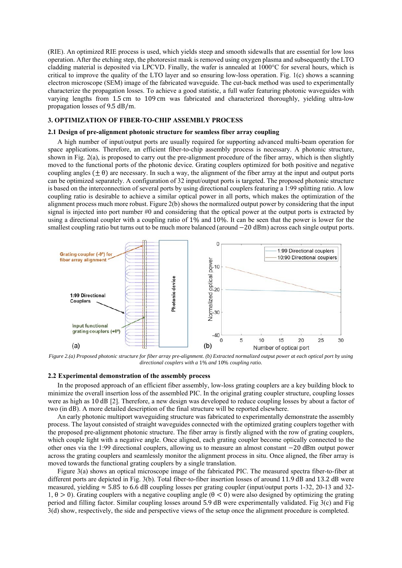(RIE). An optimized RIE process is used, which yields steep and smooth sidewalls that are essential for low loss operation. After the etching step, the photoresist mask is removed using oxygen plasma and subsequently the LTO cladding material is deposited via LPCVD. Finally, the wafer is annealed at 1000°C for several hours, which is critical to improve the quality of the LTO layer and so ensuring low-loss operation. Fig. 1(c) shows a scanning electron microscope (SEM) image of the fabricated waveguide. The cut-back method was used to experimentally characterize the propagation losses. To achieve a good statistic, a full wafer featuring photonic waveguides with varying lengths from 1.5 cm to 109 cm was fabricated and characterized thoroughly, yielding ultra-low propagation losses of 9.5 dB/m.

# **3. OPTIMIZATION OF FIBER-TO-CHIP ASSEMBLY PROCESS**

#### **2.1 Design of pre-alignment photonic structure for seamless fiber array coupling**

A high number of input/output ports are usually required for supporting advanced multi-beam operation for space applications. Therefore, an efficient fiber-to-chip assembly process is necessary. A photonic structure, shown in Fig. 2(a), is proposed to carry out the pre-alignment procedure of the fiber array, which is then slightly moved to the functional ports of the photonic device. Grating couplers optimized for both positive and negative coupling angles  $(\pm \theta)$  are necessary. In such a way, the alignment of the fiber array at the input and output ports can be optimized separately. A configuration of 32 input/output ports is targeted. The proposed photonic structure is based on the interconnection of several ports by using directional couplers featuring a 1:99 splitting ratio. A low coupling ratio is desirable to achieve a similar optical power in all ports, which makes the optimization of the alignment process much more robust. Figure 2(b) shows the normalized output power by considering that the input signal is injected into port number #0 and considering that the optical power at the output ports is extracted by using a directional coupler with a coupling ratio of 1% and 10%. It can be seen that the power is lower for the smallest coupling ratio but turns out to be much more balanced (around  $-20$  dBm) across each single output ports.



*Figure 2.(a) Proposed photonic structure for fiber array pre-alignment. (b) Extracted normalized output power at each optical port by using directional couplers with a* 1% *and* 10% *coupling ratio.* 

## **2.2 Experimental demonstration of the assembly process**

In the proposed approach of an efficient fiber assembly, low-loss grating couplers are a key building block to minimize the overall insertion loss of the assembled PIC. In the original grating coupler structure, coupling losses were as high as 10 dB [2]. Therefore, a new design was developed to reduce coupling losses by about a factor of two (in dB). A more detailed description of the final structure will be reported elsewhere.

An early photonic multiport waveguiding structure was fabricated to experimentally demonstrate the assembly process. The layout consisted of straight waveguides connected with the optimized grating couplers together with the proposed pre-alignment photonic structure. The fiber array is firstly aligned with the row of grating couplers, which couple light with a negative angle. Once aligned, each grating coupler become optically connected to the other ones via the 1:99 directional couplers, allowing us to measure an almost constant  $-20$  dBm output power across the grating couplers and seamlessly monitor the alignment process in situ. Once aligned, the fiber array is moved towards the functional grating couplers by a single translation.

Figure 3(a) shows an optical microscope image of the fabricated PIC. The measured spectra fiber-to-fiber at different ports are depicted in Fig. 3(b). Total fiber-to-fiber insertion losses of around 11.9 dB and 13.2 dB were measured, yielding  $\approx$  5.85 to 6.6 dB coupling losses per grating coupler (input/output ports 1-32, 20-13 and 32-1,  $θ > 0$ ). Grating couplers with a negative coupling angle ( $θ < 0$ ) were also designed by optimizing the grating period and filling factor. Similar coupling losses around 5.9 dB were experimentally validated. Fig 3(c) and Fig 3(d) show, respectively, the side and perspective views of the setup once the alignment procedure is completed.